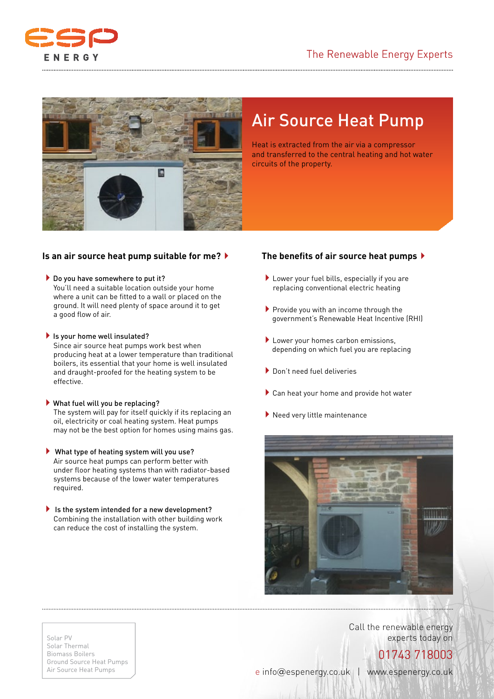



# Air Source Heat Pump

Heat is extracted from the air via a compressor and transferred to the central heating and hot water circuits of the property.

## **Is an air source heat pump suitable for me?**4

### $\blacktriangleright$  Do you have somewhere to put it?

 You'll need a suitable location outside your home where a unit can be fitted to a wall or placed on the ground. It will need plenty of space around it to get a good flow of air.

### $\blacktriangleright$  Is your home well insulated?

 Since air source heat pumps work best when producing heat at a lower temperature than traditional boilers, its essential that your home is well insulated and draught-proofed for the heating system to be effective.

- $\blacktriangleright$  What fuel will you be replacing? The system will pay for itself quickly if its replacing an oil, electricity or coal heating system. Heat pumps may not be the best option for homes using mains gas.
- $\blacktriangleright$  What type of heating system will you use? Air source heat pumps can perform better with under floor heating systems than with radiator-based systems because of the lower water temperatures required.
- $\blacktriangleright$  Is the system intended for a new development? Combining the installation with other building work can reduce the cost of installing the system.

## **The benefits of air source heat pumps**4

- $\blacktriangleright$  Lower your fuel bills, especially if you are replacing conventional electric heating
- $\blacktriangleright$  Provide you with an income through the government's Renewable Heat Incentive (RHI)
- ▶ Lower your homes carbon emissions, depending on which fuel you are replacing
- 4Don't need fuel deliveries
- $\blacktriangleright$  Can heat your home and provide hot water
- $\blacktriangleright$  Need very little maintenance



Call the renewable energy experts today on

#### Solar PV Solar Thermal Biomass Boilers Ground Source Heat Pumps Air Source Heat Pumps

# 01743 718003

e info@espenergy.co.uk | www.espenergy.co.uk